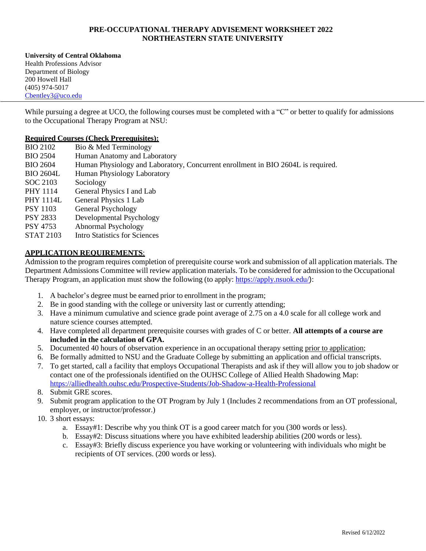### **PRE-OCCUPATIONAL THERAPY ADVISEMENT WORKSHEET 2022 NORTHEASTERN STATE UNIVERSITY**

#### **University of Central Oklahoma** Health Professions Advisor Department of Biology 200 Howell Hall (405) 974-5017 [Cbentley3@uco.edu](mailto:Cbentley3@uco.edu)

While pursuing a degree at UCO, the following courses must be completed with a "C" or better to qualify for admissions to the Occupational Therapy Program at NSU:

# **Required Courses (Check Prerequisites):**

| <b>BIO 2102</b>  | Bio & Med Terminology                                                            |
|------------------|----------------------------------------------------------------------------------|
| <b>BIO 2504</b>  | Human Anatomy and Laboratory                                                     |
| <b>BIO 2604</b>  | Human Physiology and Laboratory, Concurrent enrollment in BIO 2604L is required. |
| <b>BIO 2604L</b> | Human Physiology Laboratory                                                      |
| SOC 2103         | Sociology                                                                        |
| PHY 1114         | General Physics I and Lab                                                        |
| PHY 1114L        | General Physics 1 Lab                                                            |
| <b>PSY 1103</b>  | General Psychology                                                               |
| <b>PSY 2833</b>  | Developmental Psychology                                                         |
| PSY 4753         | Abnormal Psychology                                                              |
| <b>STAT 2103</b> | <b>Intro Statistics for Sciences</b>                                             |
|                  |                                                                                  |

# **APPLICATION REQUIREMENTS**:

Admission to the program requires completion of prerequisite course work and submission of all application materials. The Department Admissions Committee will review application materials. To be considered for admission to the Occupational Therapy Program, an application must show the following (to apply: <https://apply.nsuok.edu/>):

- 1. A bachelor's degree must be earned prior to enrollment in the program;
- 2. Be in good standing with the college or university last or currently attending;
- 3. Have a minimum cumulative and science grade point average of 2.75 on a 4.0 scale for all college work and nature science courses attempted.
- 4. Have completed all department prerequisite courses with grades of C or better. **All attempts of a course are included in the calculation of GPA.**
- 5. Documented 40 hours of observation experience in an occupational therapy setting prior to application;
- 6. Be formally admitted to NSU and the Graduate College by submitting an application and official transcripts.
- 7. To get started, call a facility that employs Occupational Therapists and ask if they will allow you to job shadow or contact one of the professionals identified on the OUHSC College of Allied Health Shadowing Map: <https://alliedhealth.ouhsc.edu/Prospective-Students/Job-Shadow-a-Health-Professional>
- 8. Submit GRE scores.
- 9. Submit program application to the OT Program by July 1 (Includes 2 recommendations from an OT professional, employer, or instructor/professor.)
- 10. 3 short essays:
	- a. Essay#1: Describe why you think OT is a good career match for you (300 words or less).
	- b. Essay#2: Discuss situations where you have exhibited leadership abilities (200 words or less).
	- c. Essay#3: Briefly discuss experience you have working or volunteering with individuals who might be recipients of OT services. (200 words or less).